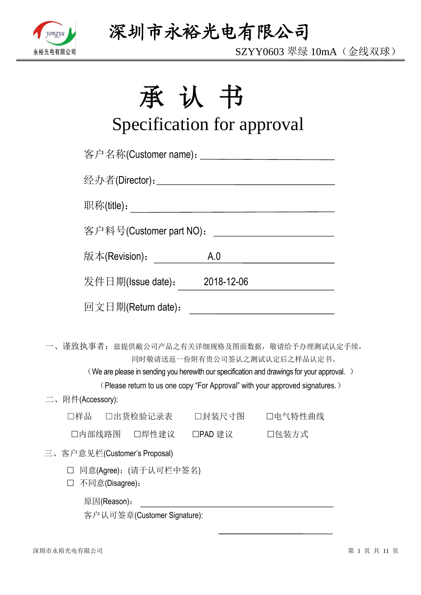

SZYY0603 翠绿 10mA(金线双球)

# 承认书

# Specification for approval

| 客户名称(Customer name): _____________________________                                                                                        |     |                                                                                                                                                                                                                                                                                                                                                                                                                                                                                  |
|-------------------------------------------------------------------------------------------------------------------------------------------|-----|----------------------------------------------------------------------------------------------------------------------------------------------------------------------------------------------------------------------------------------------------------------------------------------------------------------------------------------------------------------------------------------------------------------------------------------------------------------------------------|
|                                                                                                                                           |     |                                                                                                                                                                                                                                                                                                                                                                                                                                                                                  |
|                                                                                                                                           |     |                                                                                                                                                                                                                                                                                                                                                                                                                                                                                  |
| 客户料号(Customer part NO):                                                                                                                   |     | <u> 1990 - Johann Barbara, martin a</u>                                                                                                                                                                                                                                                                                                                                                                                                                                          |
| 版本(Revision) <b>:</b>                                                                                                                     | A.0 |                                                                                                                                                                                                                                                                                                                                                                                                                                                                                  |
| 发件日期(Issue date): 2018-12-06                                                                                                              |     |                                                                                                                                                                                                                                                                                                                                                                                                                                                                                  |
| 回文日期(Return date):                                                                                                                        |     | $\begin{tabular}{lllllllllllll} \multicolumn{3}{l}{} & \multicolumn{3}{l}{} & \multicolumn{3}{l}{} & \multicolumn{3}{l}{} & \multicolumn{3}{l}{} & \multicolumn{3}{l}{} & \multicolumn{3}{l}{} & \multicolumn{3}{l}{} & \multicolumn{3}{l}{} & \multicolumn{3}{l}{} & \multicolumn{3}{l}{} & \multicolumn{3}{l}{} & \multicolumn{3}{l}{} & \multicolumn{3}{l}{} & \multicolumn{3}{l}{} & \multicolumn{3}{l}{} & \multicolumn{3}{l}{} & \multicolumn{3}{l}{} & \multicolumn{3}{l$ |
| 一、谨致执事者: 兹提供敝公司产品之有关详细规格及图面数据, 敬请给予办理测试认定手续,<br>(We are please in sending you herewith our specification and drawings for your approval.) |     | 同时敬请送返一份附有贵公司签认之测试认定后之样品认定书。<br>(Please return to us one copy "For Approval" with your approved signatures.)                                                                                                                                                                                                                                                                                                                                                                     |
| 二、附件(Accessory):                                                                                                                          |     |                                                                                                                                                                                                                                                                                                                                                                                                                                                                                  |
| □出货检验记录表  □封装尺寸图  □电气特性曲线<br>□样品                                                                                                          |     |                                                                                                                                                                                                                                                                                                                                                                                                                                                                                  |
| □内部线路图 □焊性建议 □PAD 建议 □ □包装方式                                                                                                              |     |                                                                                                                                                                                                                                                                                                                                                                                                                                                                                  |
| 三、客户意见栏(Customer's Proposal)                                                                                                              |     |                                                                                                                                                                                                                                                                                                                                                                                                                                                                                  |
| □ 同意(Agree): (请于认可栏中签名)<br>不同意(Disagree):                                                                                                 |     |                                                                                                                                                                                                                                                                                                                                                                                                                                                                                  |
| 原因(Reason):                                                                                                                               |     |                                                                                                                                                                                                                                                                                                                                                                                                                                                                                  |

客户认可签章(Customer Signature):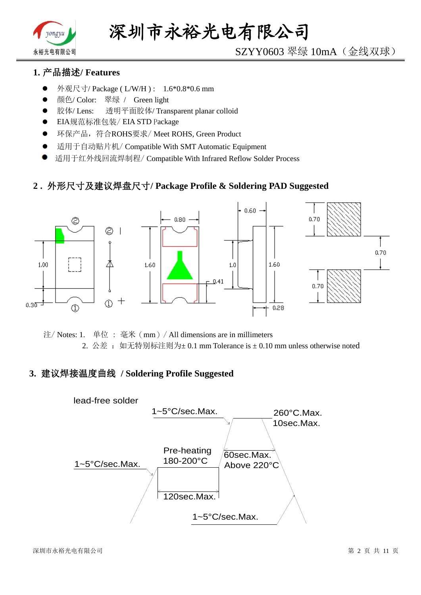

# SZYY0603 翠绿 10mA(金线双球)

# **1.** 产品描述**/ Features**

- 外观尺寸/ Package ( L/W/H ) : 1.6\*0.8\*0.6 mm
- 颜色/ Color: 翠绿 / Green light
- 胶体/ Lens: 透明平面胶体/ Transparent planar colloid
- EIA规范标准包装/ EIA STD Package
- **●** 环保产品,符合ROHS要求/Meet ROHS, Green Product
- 适用于自动贴片机/ Compatible With SMT Automatic Equipment
- 适用于红外线回流焊制程/ Compatible With Infrared Reflow Solder Process

### **2 .** 外形尺寸及建议焊盘尺寸**/ Package Profile & Soldering PAD Suggested**



注/ Notes: 1. 单位 : 毫米(mm)/ All dimensions are in millimeters 2. 公差: 如无特别标注则为±0.1 mm Tolerance is ±0.10 mm unless otherwise noted

### **3.** 建议焊接温度曲线 **/ Soldering Profile Suggested**

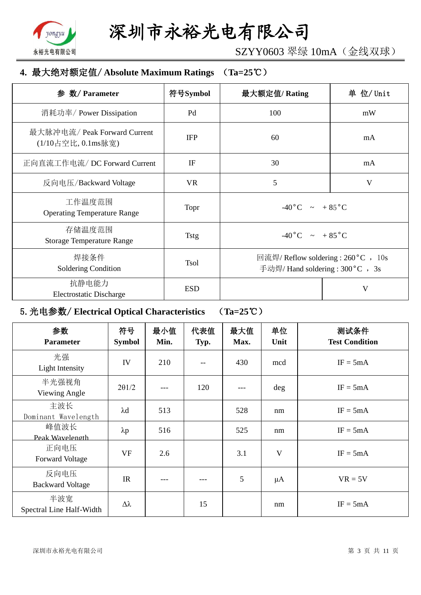

SZYY0603 翠绿 10mA(金线双球)

## **4.** 最大绝对额定值/ **Absolute Maximum Ratings** (**Ta=25**℃)

| 参 数/ Parameter                                     | 符号Symbol    | 最大额定值/Rating                                                             | 单 位/ Unit |
|----------------------------------------------------|-------------|--------------------------------------------------------------------------|-----------|
| 消耗功率/ Power Dissipation                            | Pd          | 100                                                                      | mW        |
| 最大脉冲电流/ Peak Forward Current<br>(1/10占空比, 0.1ms脉宽) | <b>IFP</b>  | 60                                                                       | mA        |
| 正向直流工作电流/DC Forward Current                        | IF          | 30                                                                       | mA        |
| 反向电压/Backward Voltage                              | <b>VR</b>   | 5                                                                        | V         |
| 工作温度范围<br><b>Operating Temperature Range</b>       | Topr        | $-40\degree C$ $\sim +85\degree C$                                       |           |
| 存储温度范围<br><b>Storage Temperature Range</b>         | <b>Tstg</b> | $-40\degree C$ $\sim$ $+85\degree C$                                     |           |
| 焊接条件<br>Soldering Condition                        | <b>Tsol</b> | 回流焊/ Reflow soldering : 260 °C , 10s<br>手动焊/ Hand soldering : 300 °C, 3s |           |
| 抗静电能力<br><b>Electrostatic Discharge</b>            | <b>ESD</b>  |                                                                          | V         |

# 5.光电参数/ **Electrical Optical Characteristics** (**Ta=25**℃)

| 参数<br><b>Parameter</b>          | 符号<br><b>Symbol</b> | 最小值<br>Min. | 代表值<br>Typ. | 最大值<br>Max. | 单位<br>Unit | 测试条件<br><b>Test Condition</b> |
|---------------------------------|---------------------|-------------|-------------|-------------|------------|-------------------------------|
| 光强<br>Light Intensity           | IV                  | 210         |             | 430         | mcd        | $IF = 5mA$                    |
| 半光强视角<br>Viewing Angle          | $2\theta$ 1/2       |             | 120         |             | deg        | $IF = 5mA$                    |
| 主波长<br>Dominant Wavelength      | $\lambda$ d         | 513         |             | 528         | nm         | $IF = 5mA$                    |
| 峰值波长<br>Peak Wavelength         | $\lambda p$         | 516         |             | 525         | nm         | $IF = 5mA$                    |
| 正向电压<br><b>Forward Voltage</b>  | <b>VF</b>           | 2.6         |             | 3.1         | V          | $IF = 5mA$                    |
| 反向电压<br><b>Backward Voltage</b> | IR                  | ---         |             | 5           | $\mu A$    | $VR = 5V$                     |
| 半波宽<br>Spectral Line Half-Width | $\Delta \lambda$    |             | 15          |             | nm         | $IF = 5mA$                    |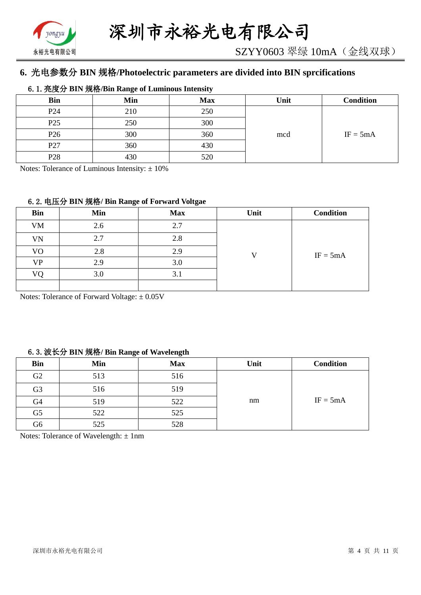

# **6.** 光电参数分 **BIN** 规格**/Photoelectric parameters are divided into BIN sprcifications**

#### 6.1.亮度分 **BIN** 规格**/Bin Range of Luminous Intensity**

| <b>Bin</b>      | Min | <b>Max</b> | Unit | <b>Condition</b> |
|-----------------|-----|------------|------|------------------|
| P <sub>24</sub> | 210 | 250        |      |                  |
| P <sub>25</sub> | 250 | 300        |      |                  |
| P <sub>26</sub> | 300 | 360        | mcd  | $IF = 5mA$       |
| P27             | 360 | 430        |      |                  |
| P <sub>28</sub> | 430 | 520        |      |                  |

Notes: Tolerance of Luminous Intensity:  $\pm 10\%$ 

#### 6.2.电压分 **BIN** 规格**/ Bin Range of Forward Voltgae**

| <b>Bin</b> | Min | <b>Max</b> | Unit | <b>Condition</b> |
|------------|-----|------------|------|------------------|
| <b>VM</b>  | 2.6 | 2.7        |      |                  |
| VN         | 2.7 | 2.8        |      |                  |
| VO         | 2.8 | 2.9        |      | $IF = 5mA$       |
| <b>VP</b>  | 2.9 | 3.0        |      |                  |
| VO         | 3.0 | 3.1        |      |                  |
|            |     |            |      |                  |

Notes: Tolerance of Forward Voltage: ±0.05V

#### 6.3.波长分 **BIN** 规格**/ Bin Range of Wavelength**

| <b>Bin</b>     | Min | <b>Max</b> | Unit | <b>Condition</b> |
|----------------|-----|------------|------|------------------|
| G2             | 513 | 516        |      |                  |
| G <sub>3</sub> | 516 | 519        |      |                  |
| G4             | 519 | 522        | nm   | $IF = 5mA$       |
| G <sub>5</sub> | 522 | 525        |      |                  |
| G6             | 525 | 528        |      |                  |

Notes: Tolerance of Wavelength: ±1nm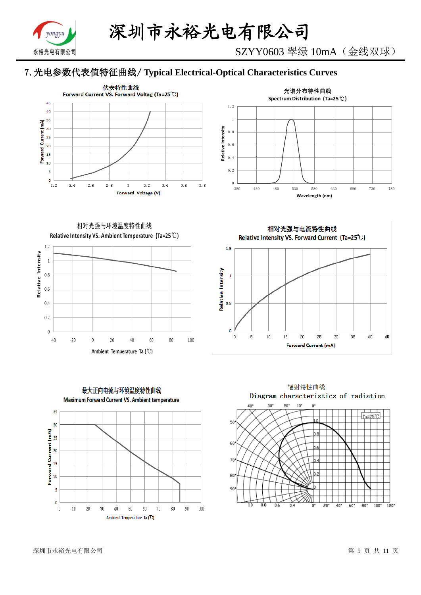

SZYY0603 翠绿 10mA(金线双球)

# 7.光电参数代表值特征曲线/ **Typical Electrical-Optical Characteristics Curves**





相对光强与环境温度特性曲线 Relative Intensity VS. Ambient Temperature (Ta=25°C)





相对光强与电流特性曲线 Relative Intensity VS. Forward Current (Ta=25°C)





深圳市永裕光电有限公司 第 5 页 共 11 页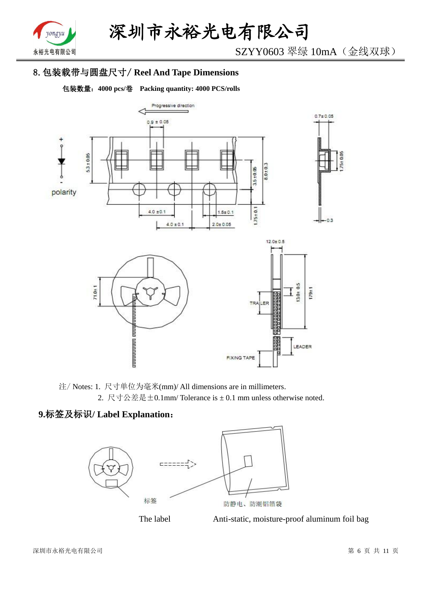

SZYY0603 翠绿 10mA(金线双球)

# 8.包装载带与圆盘尺寸/ **Reel And Tape Dimensions**

包装数量:**4000 pcs/**卷 **Packing quantity: 4000 PCS/rolls**



注/ Notes: 1. 尺寸单位为毫米(mm)/ All dimensions are in millimeters. 2. 尺寸公差是±0.1mm/ Tolerance is ± 0.1 mm unless otherwise noted.

# **9.**标签及标识**/ Label Explanation**:





The label Anti-static, moisture-proof aluminum foil bag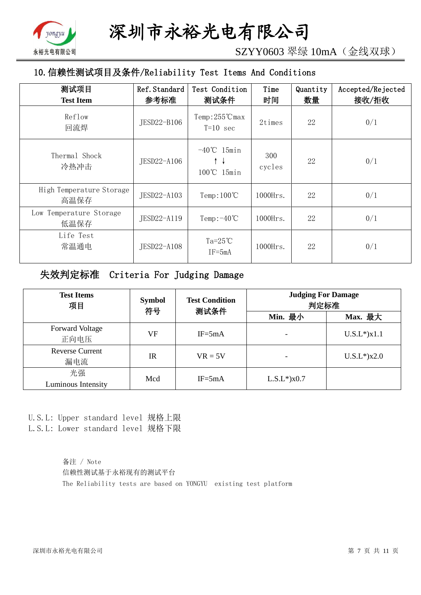

SZYY0603 翠绿 10mA(金线双球)

# 10.信赖性测试项目及条件/Reliability Test Items And Conditions

| 测试项目<br><b>Test Item</b>         | Ref. Standard<br>参考标准 | Test Condition<br>测试条件                | Time<br>时间    | Quantity<br>数量 | Accepted/Rejected<br>接收/拒收 |
|----------------------------------|-----------------------|---------------------------------------|---------------|----------------|----------------------------|
| Reflow<br>回流焊                    | JESD22-B106           | $Temp:255^{\circ}C$ max<br>$T=10$ sec | 2times        | 22             | 0/1                        |
| Thermal Shock<br>冷热冲击            | JESD22-A106           | $-40^{\circ}$ C 15min<br>100℃ 15min   | 300<br>cycles | 22             | 0/1                        |
| High Temperature Storage<br>高温保存 | JESD22-A103           | Temp: $100^{\circ}$ C                 | $1000$ Hrs.   | 22             | 0/1                        |
| Low Temperature Storage<br>低温保存  | JESD22-A119           | Temp: $-40^{\circ}$ C                 | $1000$ Hrs.   | 22             | 0/1                        |
| Life Test<br>常温通电                | JESD22-A108           | Ta= $25^{\circ}$ C<br>$IF = 5mA$      | $1000$ Hrs.   | 22             | 0/1                        |

# 失效判定标准 Criteria For Judging Damage

| <b>Test Items</b><br>项目        | <b>Symbol</b><br>符号 | <b>Test Condition</b><br>测试条件 | <b>Judging For Damage</b><br>判定标准 |                    |
|--------------------------------|---------------------|-------------------------------|-----------------------------------|--------------------|
|                                |                     |                               | Min. 最小                           | Max. 最大            |
| <b>Forward Voltage</b><br>正向电压 | VF                  | $IF = 5mA$                    |                                   | $U.S.L^*$ ) $x1.1$ |
| <b>Reverse Current</b><br>漏电流  | <b>IR</b>           | $VR = 5V$                     |                                   | $U.S.L*$ )x2.0     |
| 光强<br>Luminous Intensity       | Mcd                 | $IF = 5mA$                    | $L.S.L*$ ) $x0.7$                 |                    |

U.S.L: Upper standard level 规格上限 L.S.L: Lower standard level 规格下限

> 备注 / Note 信赖性测试基于永裕现有的测试平台 The Reliability tests are based on YONGYU existing test platform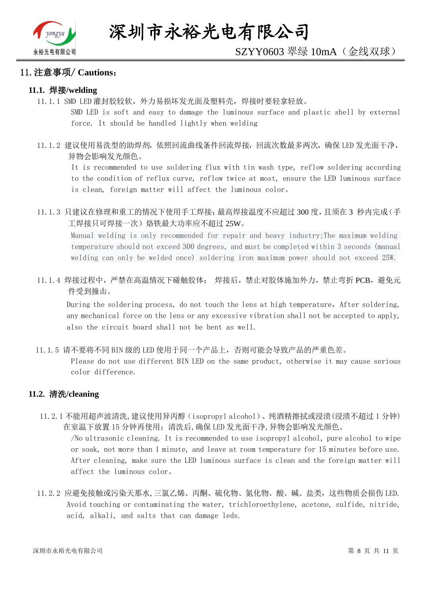

#### 11.注意事项/ **Cautions**:

#### **11.1.** 焊接**/welding**

11.1.1 SMD LED 灌封胶较软,外力易损坏发光面及塑料壳,焊接时要轻拿轻放。

SMD LED is soft and easy to damage the luminous surface and plastic shell by external force. It should be handled lightly when welding

11.1.2 建议使用易洗型的助焊剂,依照回流曲线条件回流焊接,回流次数最多两次,确保 LED 发光面干净, 异物会影响发光颜色。

It is recommended to use soldering flux with tin wash type, reflow soldering according to the condition of reflux curve, reflow twice at most, ensure the LED luminous surface is clean, foreign matter will affect the luminous color。

11.1.3 只建议在修理和重工的情况下使用手工焊接;最高焊接温度不应超过 300 度,且须在 3 秒内完成(手 工焊接只可焊接一次)烙铁最大功率应不超过 25W。

Manual welding is only recommended for repair and heavy industry;The maximum welding temperature should not exceed 300 degrees, and must be completed within 3 seconds (manual welding can only be welded once) soldering iron maximum power should not exceed 25W.

11.1.4 焊接过程中,严禁在高温情况下碰触胶体; 焊接后,禁止对胶体施加外力,禁止弯折 PCB,避免元 件受到撞击。

During the soldering process, do not touch the lens at high temperature, After soldering, any mechanical force on the lens or any excessive vibration shall not be accepted to apply, also the circuit board shall not be bent as well.

11.1.5 请不要将不同 BIN 级的 LED 使用于同一个产品上,否则可能会导致产品的严重色差。

Please do not use different BIN LED on the same product, otherwise it may cause serious color difference.

#### **11.2.** 清洗**/cleaning**

11.2.1 不能用超声波清洗,建议使用异丙醇(isopropyl alcohol)、纯酒精擦拭或浸渍(浸渍不超过 1 分钟) 在室温下放置 15 分钟再使用;清洗后,确保 LED 发光面干净,异物会影响发光颜色。

/No ultrasonic cleaning. It is recommended to use isopropyl alcohol, pure alcohol to wipe or soak, not more than 1 minute, and leave at room temperature for 15 minutes before use. After cleaning, make sure the LED luminous surface is clean and the foreign matter will affect the luminous color。

11.2.2 应避免接触或污染天那水,三氯乙烯、丙酮、硫化物、氮化物、酸、碱、盐类,这些物质会损伤 LED. Avoid touching or contaminating the water, trichloroethylene, acetone, sulfide, nitride, acid, alkali, and salts that can damage leds.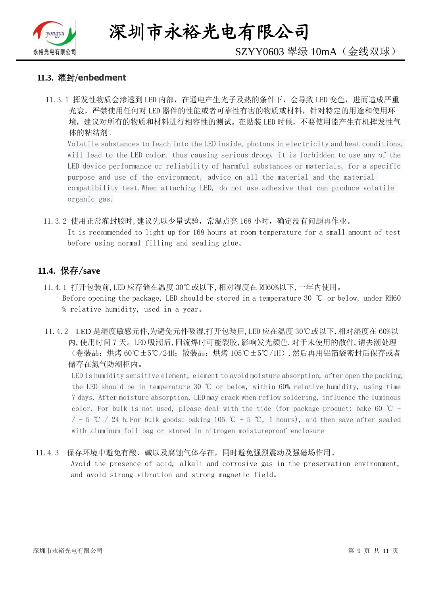

深圳市永裕光电有限公司

# SZYY0603 翠绿 10mA(金线双球)

#### **11.3.** 灌封/**enbedment**

11.3.1 挥发性物质会渗透到 LED 内部, 在通电产生光子及热的条件下, 会导致 LED 变色, 进而造成严重 光衰,严禁使用任何对 LED 器件的性能或者可靠性有害的物质或材料,针对特定的用途和使用环 境,建议对所有的物质和材料进行相容性的测试。在贴装 LED 时候,不要使用能产生有机挥发性气 体的粘结剂。

Volatile substances to leach into the LED inside, photons in electricity and heat conditions, will lead to the LED color, thus causing serious droop, it is forbidden to use any of the LED device performance or reliability of harmful substances or materials, for a specific purpose and use of the environment, advice on all the material and the material compatibility test.When attaching LED, do not use adhesive that can produce volatile organic gas.

11.3.2 使用正常灌封胶时,建议先以少量试验,常温点亮 168 小时,确定没有问题再作业。 It is recommended to light up for 168 hours at room temperature for a small amount of test before using normal filling and sealing glue。

#### **11.4.** 保存/**save**

- 11.4.1 打开包装前,LED 应存储在温度 30℃或以下,相对湿度在 RH60%以下,一年内使用。 Before opening the package, LED should be stored in a temperature 30 ℃ or below, under RH60 % relative humidity, used in a year。
- 11.4.2 LED 是湿度敏感元件,为避免元件吸湿,打开包装后,LED 应在温度 30℃或以下,相对湿度在 60%以 内,使用时间 7 天。LED 吸潮后,回流焊时可能裂胶,影响发光颜色.对于未使用的散件,请去潮处理 (卷装品:烘烤 60℃±5℃/24H;散装品:烘烤 105℃±5℃/1H),然后再用铝箔袋密封后保存或者 储存在氮气防潮柜内。

LED is humidity sensitive element, element to avoid moisture absorption, after open the packing, the LED should be in temperature 30 ℃ or below, within 60% relative humidity, using time 7 days. After moisture absorption, LED may crack when reflow soldering, influence the luminous color. For bulk is not used, please deal with the tide (for package product: bake 60  $\degree$ C +  $/$  - 5 ℃ / 24 h. For bulk goods: baking 105 ℃ + 5 ℃, 1 hours), and then save after sealed with aluminum foil bag or stored in nitrogen moistureproof enclosure

#### 11.4.3 保存环境中避免有酸、碱以及腐蚀气体存在,同时避免强烈震动及强磁场作用。

Avoid the presence of acid, alkali and corrosive gas in the preservation environment, and avoid strong vibration and strong magnetic field。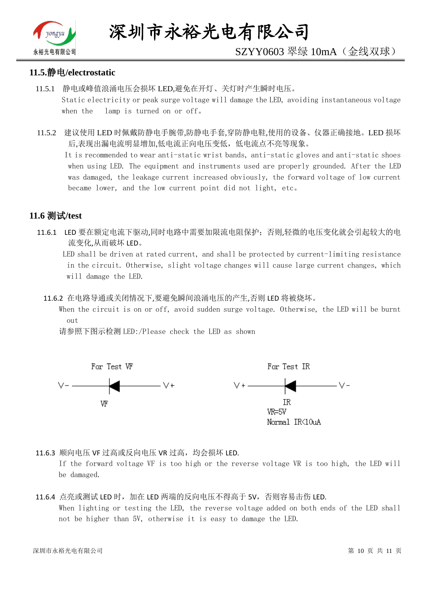

# SZYY0603 翠绿 10mA(金线双球)

#### **11.5.**静电**/electrostatic**

- 11.5.1 静电或峰值浪涌电压会损坏 LED,避免在开灯、关灯时产生瞬时电压。 Static electricity or peak surge voltage will damage the LED, avoiding instantaneous voltage when the lamp is turned on or off。
- 11.5.2 建议使用 LED 时佩戴防静电手腕带,防静电手套,穿防静电鞋,使用的设备、仪器正确接地。LED 损坏 后,表现出漏电流明显增加,低电流正向电压变低,低电流点不亮等现象。

 It is recommended to wear anti-static wrist bands, anti-static gloves and anti-static shoes when using LED. The equipment and instruments used are properly grounded. After the LED was damaged, the leakage current increased obviously, the forward voltage of low current became lower, and the low current point did not light, etc。

## **11.6** 测试**/test**

11.6.1 LED 要在额定电流下驱动,同时电路中需要加限流电阻保护;否则,轻微的电压变化就会引起较大的电 流变化,从而破坏 LED。

 LED shall be driven at rated current, and shall be protected by current-limiting resistance in the circuit. Otherwise, slight voltage changes will cause large current changes, which will damage the LED.

11.6.2 在电路导通或关闭情况下,要避免瞬间浪涌电压的产生,否则 LED 将被烧坏。

 When the circuit is on or off, avoid sudden surge voltage. Otherwise, the LED will be burnt out

请参照下图示检测 LED:/Please check the LED as shown



11.6.3 顺向电压 VF 过高或反向电压 VR 过高, 均会损坏 LED.

If the forward voltage VF is too high or the reverse voltage VR is too high, the LED will be damaged.

#### 11.6.4 点亮或测试 LED 时,加在 LED 两端的反向电压不得高于 5V,否则容易击伤 LED. When lighting or testing the LED, the reverse voltage added on both ends of the LED shall not be higher than 5V, otherwise it is easy to damage the LED.